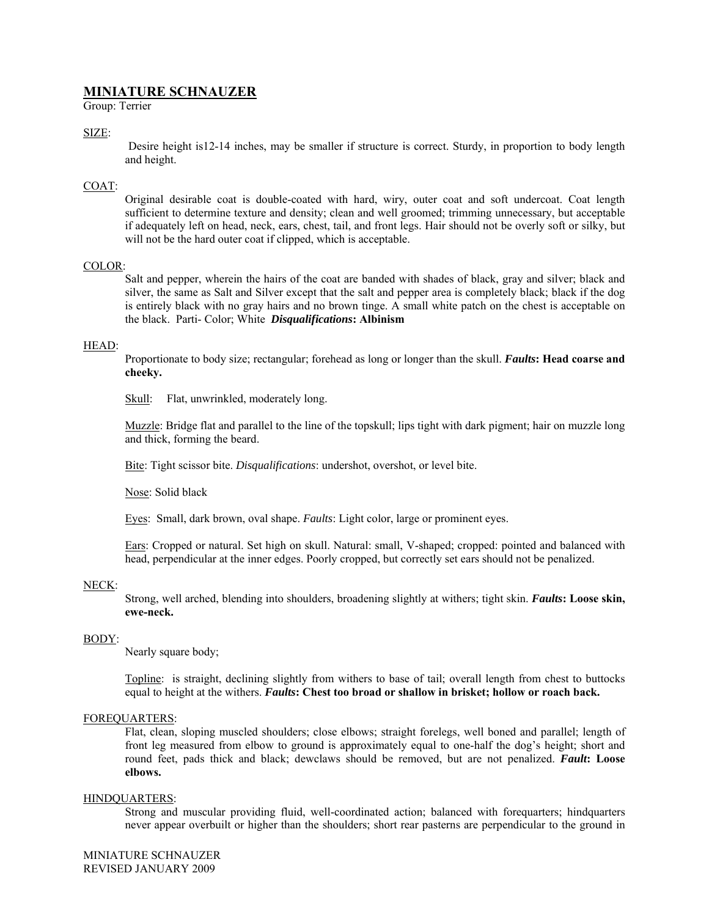# **MINIATURE SCHNAUZER**

Group: Terrier

## SIZE:

Desire height is12-14 inches, may be smaller if structure is correct. Sturdy, in proportion to body length and height.

## COAT:

Original desirable coat is double-coated with hard, wiry, outer coat and soft undercoat. Coat length sufficient to determine texture and density; clean and well groomed; trimming unnecessary, but acceptable if adequately left on head, neck, ears, chest, tail, and front legs. Hair should not be overly soft or silky, but will not be the hard outer coat if clipped, which is acceptable.

## COLOR:

Salt and pepper, wherein the hairs of the coat are banded with shades of black, gray and silver; black and silver, the same as Salt and Silver except that the salt and pepper area is completely black; black if the dog is entirely black with no gray hairs and no brown tinge. A small white patch on the chest is acceptable on the black. Parti- Color; White *Disqualifications***: Albinism**

## HEAD:

Proportionate to body size; rectangular; forehead as long or longer than the skull. *Faults***: Head coarse and cheeky.** 

Skull: Flat, unwrinkled, moderately long.

Muzzle: Bridge flat and parallel to the line of the topskull; lips tight with dark pigment; hair on muzzle long and thick, forming the beard.

Bite: Tight scissor bite. *Disqualifications*: undershot, overshot, or level bite.

Nose: Solid black

Eyes: Small, dark brown, oval shape. *Faults*: Light color, large or prominent eyes.

Ears: Cropped or natural. Set high on skull. Natural: small, V-shaped; cropped: pointed and balanced with head, perpendicular at the inner edges. Poorly cropped, but correctly set ears should not be penalized.

## NECK:

Strong, well arched, blending into shoulders, broadening slightly at withers; tight skin. *Faults***: Loose skin, ewe-neck.**

#### BODY:

Nearly square body;

Topline: is straight, declining slightly from withers to base of tail; overall length from chest to buttocks equal to height at the withers. *Faults***: Chest too broad or shallow in brisket; hollow or roach back.** 

## FOREQUARTERS:

Flat, clean, sloping muscled shoulders; close elbows; straight forelegs, well boned and parallel; length of front leg measured from elbow to ground is approximately equal to one-half the dog's height; short and round feet, pads thick and black; dewclaws should be removed, but are not penalized. *Fault***: Loose elbows.** 

#### HINDQUARTERS:

Strong and muscular providing fluid, well-coordinated action; balanced with forequarters; hindquarters never appear overbuilt or higher than the shoulders; short rear pasterns are perpendicular to the ground in